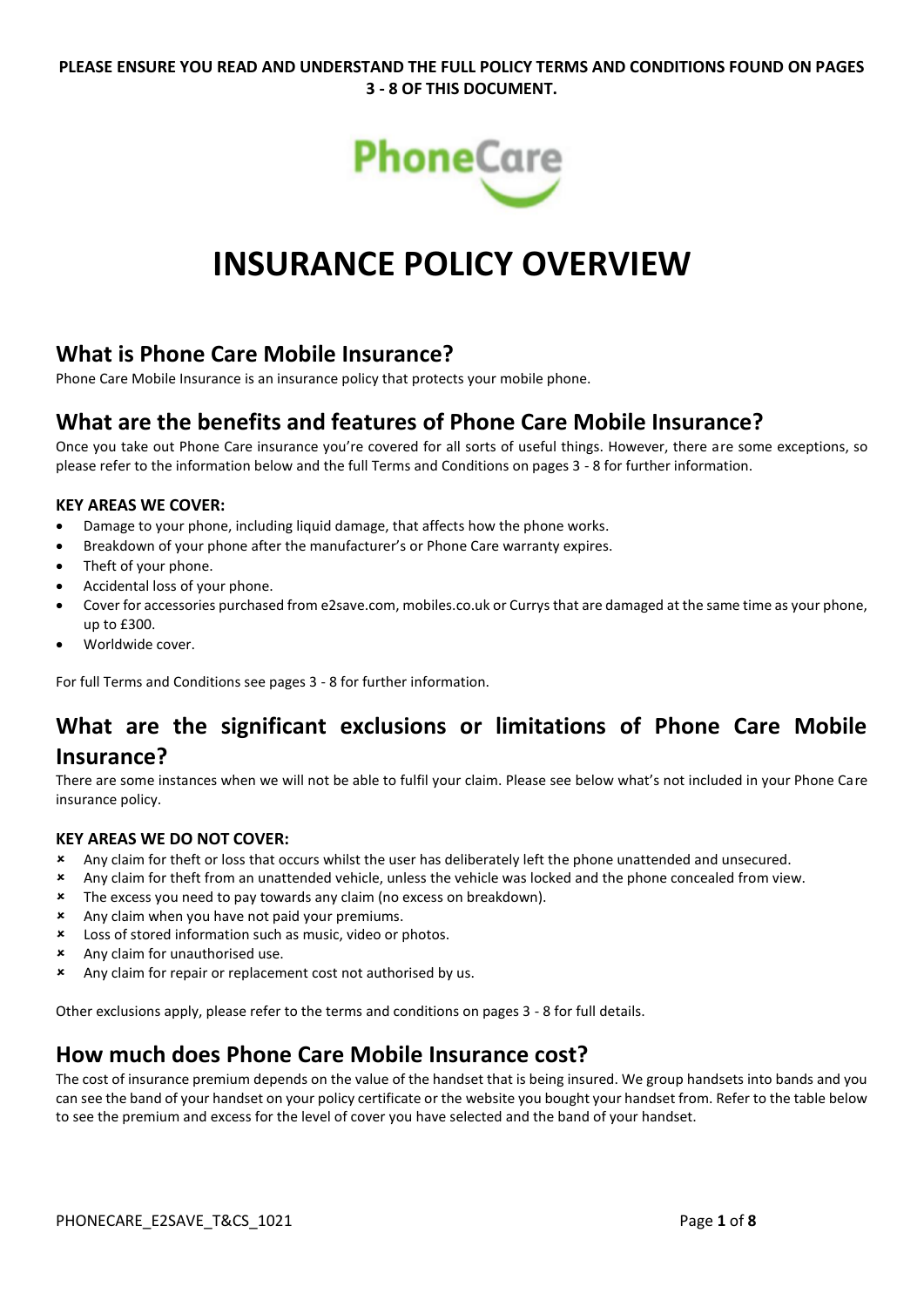# **PLEASE ENSURE YOU READ AND UNDERSTAND THE FULL POLICY TERMS AND CONDITIONS FOUND ON PAGES 3 - 8 OF THIS DOCUMENT.**



# **INSURANCE POLICY OVERVIEW**

# **What is Phone Care Mobile Insurance?**

Phone Care Mobile Insurance is an insurance policy that protects your mobile phone.

# **What are the benefits and features of Phone Care Mobile Insurance?**

Once you take out Phone Care insurance you're covered for all sorts of useful things. However, there are some exceptions, so please refer to the information below and the full Terms and Conditions on pages 3 - 8 for further information.

# **KEY AREAS WE COVER:**

- Damage to your phone, including liquid damage, that affects how the phone works.
- Breakdown of your phone after the manufacturer's or Phone Care warranty expires.
- Theft of your phone.
- Accidental loss of your phone.
- Cover for accessories purchased from e2save.com, mobiles.co.uk or Currys that are damaged at the same time as your phone, up to £300.
- Worldwide cover.

For full Terms and Conditions see pages 3 - 8 for further information.

# **What are the significant exclusions or limitations of Phone Care Mobile Insurance?**

There are some instances when we will not be able to fulfil your claim. Please see below what's not included in your Phone Care insurance policy.

# **KEY AREAS WE DO NOT COVER:**

- Any claim for theft or loss that occurs whilst the user has deliberately left the phone unattended and unsecured.
- Any claim for theft from an unattended vehicle, unless the vehicle was locked and the phone concealed from view.
- **\*** The excess you need to pay towards any claim (no excess on breakdown).
- Any claim when you have not paid your premiums.
- Loss of stored information such as music, video or photos.
- Any claim for unauthorised use.
- \* Any claim for repair or replacement cost not authorised by us.

Other exclusions apply, please refer to the terms and conditions on pages 3 - 8 for full details.

# **How much does Phone Care Mobile Insurance cost?**

The cost of insurance premium depends on the value of the handset that is being insured. We group handsets into bands and you can see the band of your handset on your policy certificate or the website you bought your handset from. Refer to the table below to see the premium and excess for the level of cover you have selected and the band of your handset.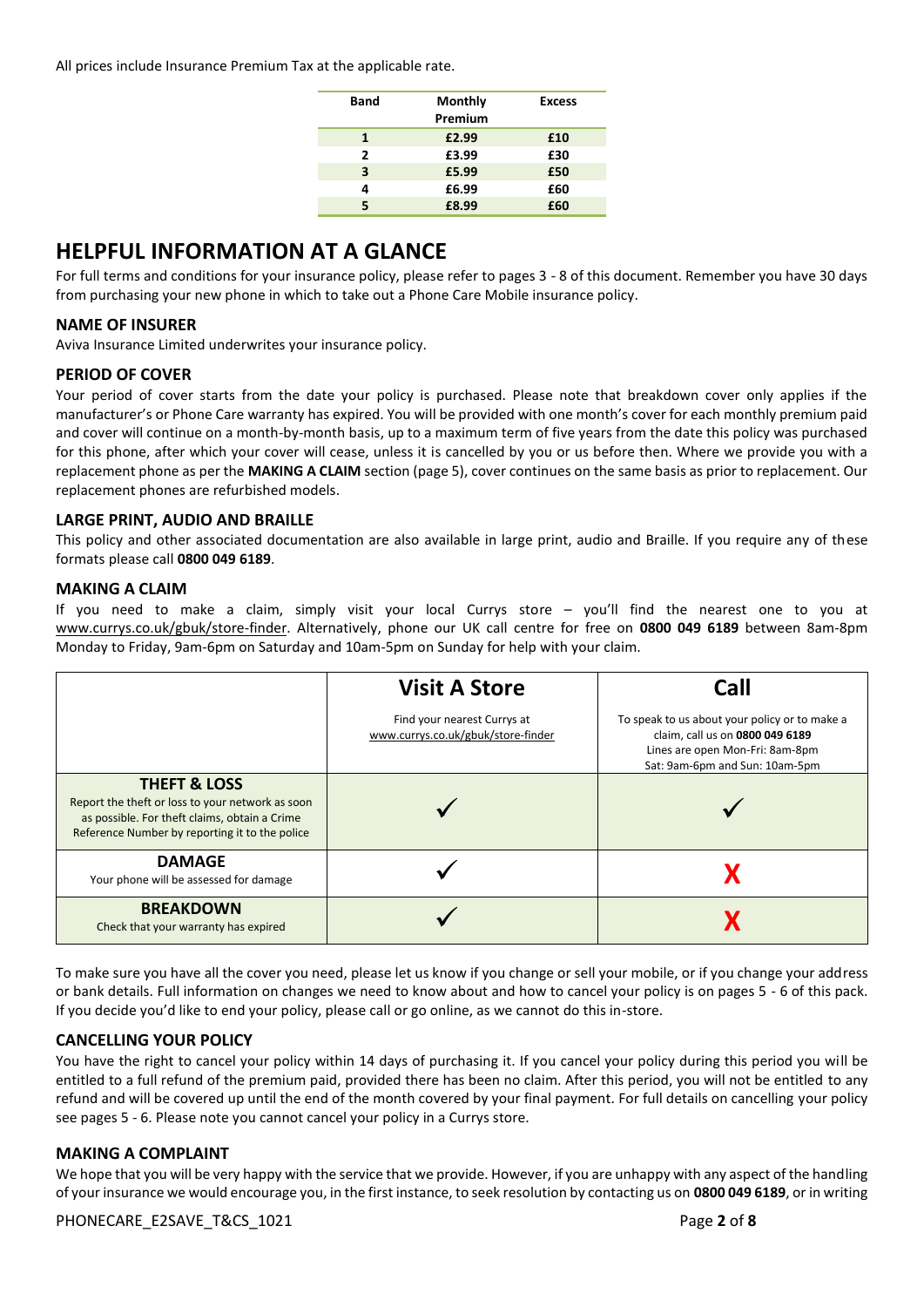All prices include Insurance Premium Tax at the applicable rate.

| <b>Band</b> | <b>Monthly</b><br>Premium | <b>Excess</b> |
|-------------|---------------------------|---------------|
| 1           | £2.99                     | £10           |
| 2           | £3.99                     | £30           |
| 3           | £5.99                     | £50           |
| 4           | £6.99                     | £60           |
| 5           | £8.99                     | £60           |

# **HELPFUL INFORMATION AT A GLANCE**

For full terms and conditions for your insurance policy, please refer to pages 3 - 8 of this document. Remember you have 30 days from purchasing your new phone in which to take out a Phone Care Mobile insurance policy.

# **NAME OF INSURER**

Aviva Insurance Limited underwrites your insurance policy.

# **PERIOD OF COVER**

Your period of cover starts from the date your policy is purchased. Please note that breakdown cover only applies if the manufacturer's or Phone Care warranty has expired. You will be provided with one month's cover for each monthly premium paid and cover will continue on a month-by-month basis, up to a maximum term of five years from the date this policy was purchased for this phone, after which your cover will cease, unless it is cancelled by you or us before then. Where we provide you with a replacement phone as per the **MAKING A CLAIM** section (page 5), cover continues on the same basis as prior to replacement. Our replacement phones are refurbished models.

# **LARGE PRINT, AUDIO AND BRAILLE**

This policy and other associated documentation are also available in large print, audio and Braille. If you require any of these formats please call **0800 049 6189**.

# **MAKING A CLAIM**

If you need to make a claim, simply visit your local Currys store – you'll find the nearest one to you at www.currys.co.uk/gbuk/store-finder. Alternatively, phone our UK call centre for free on **0800 049 6189** between 8am-8pm Monday to Friday, 9am-6pm on Saturday and 10am-5pm on Sunday for help with your claim.

|                                                                                                                                                                                | <b>Visit A Store</b>                                              | Call                                                                                                                                                  |
|--------------------------------------------------------------------------------------------------------------------------------------------------------------------------------|-------------------------------------------------------------------|-------------------------------------------------------------------------------------------------------------------------------------------------------|
|                                                                                                                                                                                | Find your nearest Currys at<br>www.currys.co.uk/gbuk/store-finder | To speak to us about your policy or to make a<br>claim, call us on 0800 049 6189<br>Lines are open Mon-Fri: 8am-8pm<br>Sat: 9am-6pm and Sun: 10am-5pm |
| <b>THEFT &amp; LOSS</b><br>Report the theft or loss to your network as soon<br>as possible. For theft claims, obtain a Crime<br>Reference Number by reporting it to the police |                                                                   |                                                                                                                                                       |
| <b>DAMAGE</b><br>Your phone will be assessed for damage                                                                                                                        |                                                                   |                                                                                                                                                       |
| <b>BREAKDOWN</b><br>Check that your warranty has expired                                                                                                                       |                                                                   |                                                                                                                                                       |

To make sure you have all the cover you need, please let us know if you change or sell your mobile, or if you change your address or bank details. Full information on changes we need to know about and how to cancel your policy is on pages 5 - 6 of this pack. If you decide you'd like to end your policy, please call or go online, as we cannot do this in-store.

# **CANCELLING YOUR POLICY**

You have the right to cancel your policy within 14 days of purchasing it. If you cancel your policy during this period you will be entitled to a full refund of the premium paid, provided there has been no claim. After this period, you will not be entitled to any refund and will be covered up until the end of the month covered by your final payment. For full details on cancelling your policy see pages 5 - 6. Please note you cannot cancel your policy in a Currys store.

# **MAKING A COMPLAINT**

We hope that you will be very happy with the service that we provide. However, if you are unhappy with any aspect of the handling of your insurance we would encourage you, in the first instance, to seek resolution by contacting us on **0800 049 6189**, or in writing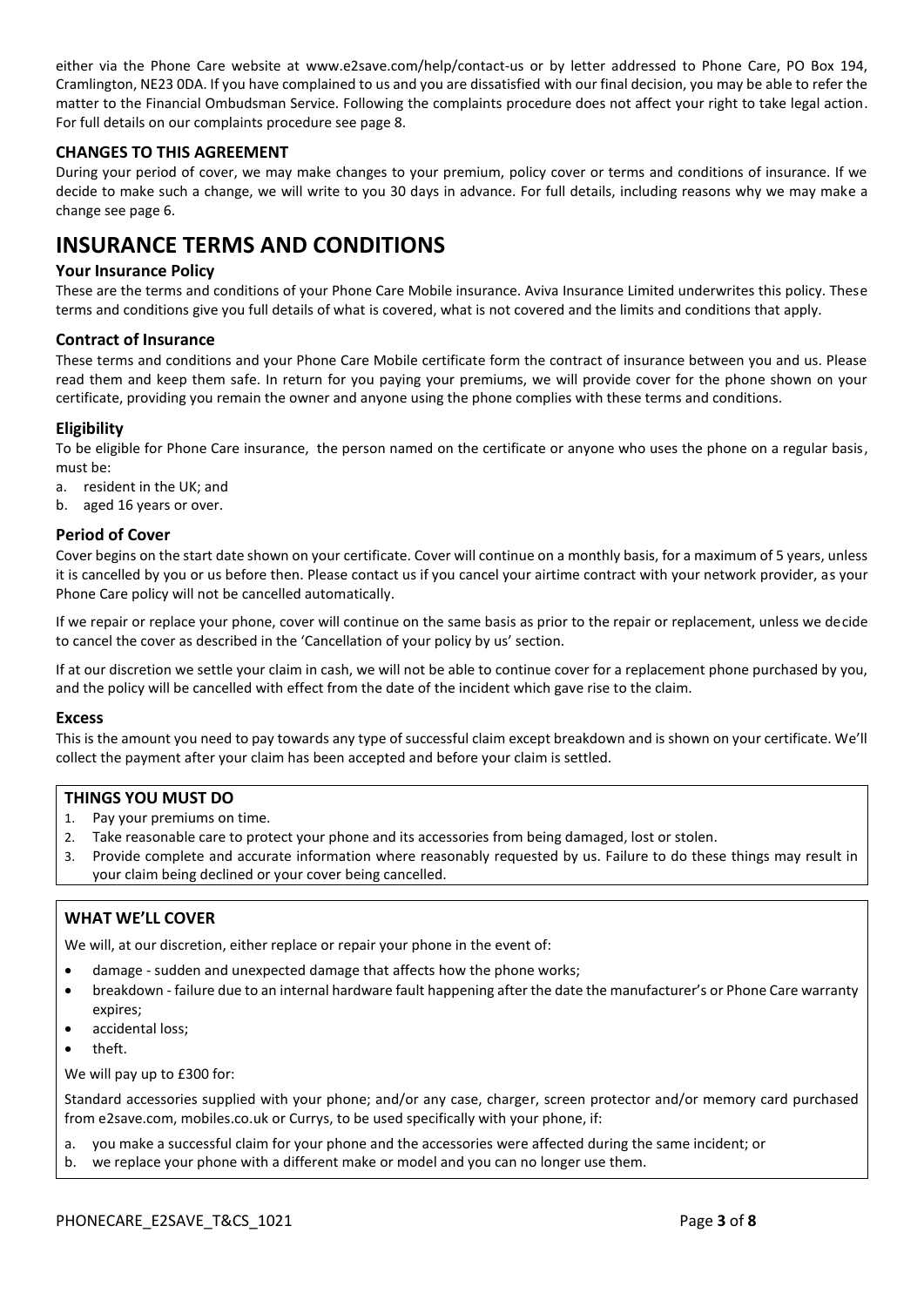either via the Phone Care website at [www.e2save.com/help/contact-us](https://www.e2save.com/help/contact-us) or by letter addressed to Phone Care, PO Box 194, Cramlington, NE23 0DA. If you have complained to us and you are dissatisfied with our final decision, you may be able to refer the matter to the Financial Ombudsman Service. Following the complaints procedure does not affect your right to take legal action. For full details on our complaints procedure see page 8.

# **CHANGES TO THIS AGREEMENT**

During your period of cover, we may make changes to your premium, policy cover or terms and conditions of insurance. If we decide to make such a change, we will write to you 30 days in advance. For full details, including reasons why we may make a change see page 6.

# **INSURANCE TERMS AND CONDITIONS**

# **Your Insurance Policy**

These are the terms and conditions of your Phone Care Mobile insurance. Aviva Insurance Limited underwrites this policy. These terms and conditions give you full details of what is covered, what is not covered and the limits and conditions that apply.

# **Contract of Insurance**

These terms and conditions and your Phone Care Mobile certificate form the contract of insurance between you and us. Please read them and keep them safe. In return for you paying your premiums, we will provide cover for the phone shown on your certificate, providing you remain the owner and anyone using the phone complies with these terms and conditions.

# **Eligibility**

To be eligible for Phone Care insurance, the person named on the certificate or anyone who uses the phone on a regular basis, must be:

- a. resident in the UK; and
- b. aged 16 years or over.

#### **Period of Cover**

Cover begins on the start date shown on your certificate. Cover will continue on a monthly basis, for a maximum of 5 years, unless it is cancelled by you or us before then. Please contact us if you cancel your airtime contract with your network provider, as your Phone Care policy will not be cancelled automatically.

If we repair or replace your phone, cover will continue on the same basis as prior to the repair or replacement, unless we decide to cancel the cover as described in the 'Cancellation of your policy by us' section.

If at our discretion we settle your claim in cash, we will not be able to continue cover for a replacement phone purchased by you, and the policy will be cancelled with effect from the date of the incident which gave rise to the claim.

#### **Excess**

This is the amount you need to pay towards any type of successful claim except breakdown and is shown on your certificate. We'll collect the payment after your claim has been accepted and before your claim is settled.

#### **THINGS YOU MUST DO**

- 1. Pay your premiums on time.
- 2. Take reasonable care to protect your phone and its accessories from being damaged, lost or stolen.
- 3. Provide complete and accurate information where reasonably requested by us. Failure to do these things may result in your claim being declined or your cover being cancelled.

# **WHAT WE'LL COVER**

We will, at our discretion, either replace or repair your phone in the event of:

- damage sudden and unexpected damage that affects how the phone works;
- breakdown failure due to an internal hardware fault happening after the date the manufacturer's or Phone Care warranty expires;
- accidental loss:
- theft.

We will pay up to £300 for:

Standard accessories supplied with your phone; and/or any case, charger, screen protector and/or memory card purchased from e2save.com, mobiles.co.uk or Currys, to be used specifically with your phone, if:

- a. you make a successful claim for your phone and the accessories were affected during the same incident; or
- b. we replace your phone with a different make or model and you can no longer use them.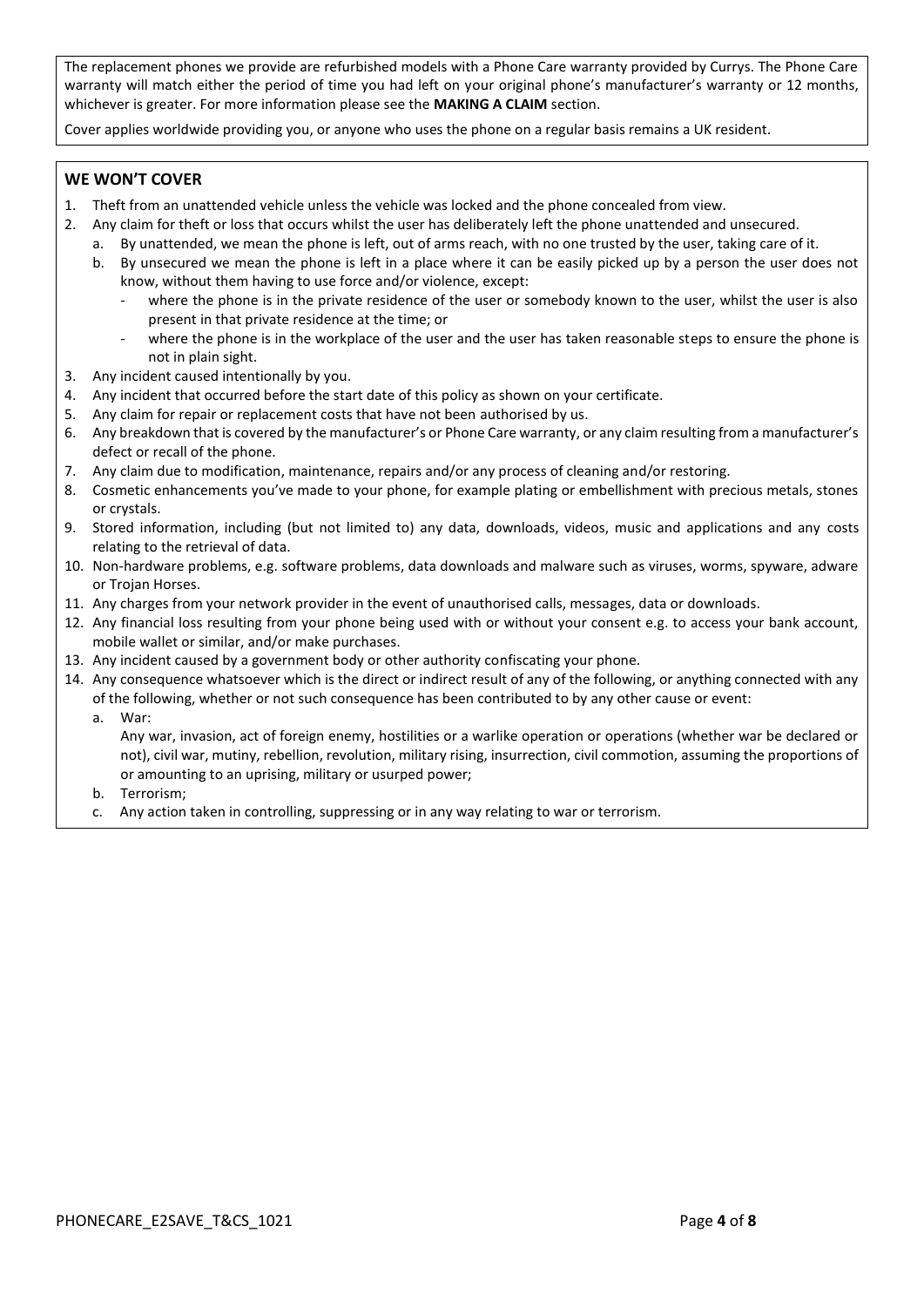The replacement phones we provide are refurbished models with a Phone Care warranty provided by Currys. The Phone Care warranty will match either the period of time you had left on your original phone's manufacturer's warranty or 12 months, whichever is greater. For more information please see the **MAKING A CLAIM** section.

Cover applies worldwide providing you, or anyone who uses the phone on a regular basis remains a UK resident.

# **WE WON'T COVER**

- 1. Theft from an unattended vehicle unless the vehicle was locked and the phone concealed from view.
- 2. Any claim for theft or loss that occurs whilst the user has deliberately left the phone unattended and unsecured.
	- a. By unattended, we mean the phone is left, out of arms reach, with no one trusted by the user, taking care of it.
		- b. By unsecured we mean the phone is left in a place where it can be easily picked up by a person the user does not know, without them having to use force and/or violence, except:
			- where the phone is in the private residence of the user or somebody known to the user, whilst the user is also present in that private residence at the time; or
			- where the phone is in the workplace of the user and the user has taken reasonable steps to ensure the phone is not in plain sight.
- 3. Any incident caused intentionally by you.
- 4. Any incident that occurred before the start date of this policy as shown on your certificate.
- 5. Any claim for repair or replacement costs that have not been authorised by us.
- 6. Any breakdown that is covered by the manufacturer's or Phone Care warranty, or any claim resulting from a manufacturer's defect or recall of the phone.
- 7. Any claim due to modification, maintenance, repairs and/or any process of cleaning and/or restoring.
- 8. Cosmetic enhancements you've made to your phone, for example plating or embellishment with precious metals, stones or crystals.
- 9. Stored information, including (but not limited to) any data, downloads, videos, music and applications and any costs relating to the retrieval of data.
- 10. Non-hardware problems, e.g. software problems, data downloads and malware such as viruses, worms, spyware, adware or Trojan Horses.
- 11. Any charges from your network provider in the event of unauthorised calls, messages, data or downloads.
- 12. Any financial loss resulting from your phone being used with or without your consent e.g. to access your bank account, mobile wallet or similar, and/or make purchases.
- 13. Any incident caused by a government body or other authority confiscating your phone.
- 14. Any consequence whatsoever which is the direct or indirect result of any of the following, or anything connected with any of the following, whether or not such consequence has been contributed to by any other cause or event:
	- a. War:

Any war, invasion, act of foreign enemy, hostilities or a warlike operation or operations (whether war be declared or not), civil war, mutiny, rebellion, revolution, military rising, insurrection, civil commotion, assuming the proportions of or amounting to an uprising, military or usurped power;

- b. Terrorism;
- c. Any action taken in controlling, suppressing or in any way relating to war or terrorism.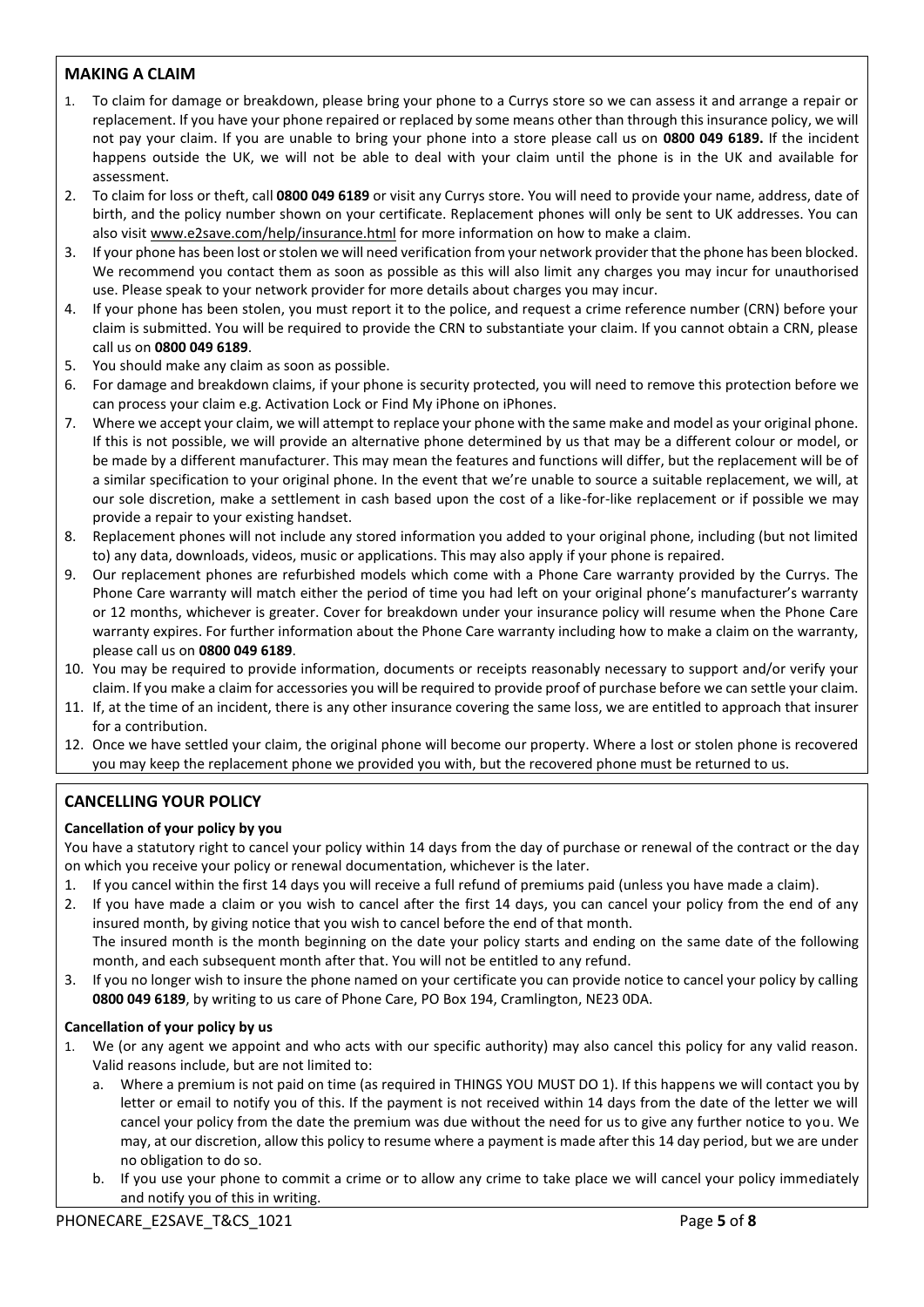# **MAKING A CLAIM**

- 1. To claim for damage or breakdown, please bring your phone to a Currys store so we can assess it and arrange a repair or replacement. If you have your phone repaired or replaced by some means other than through this insurance policy, we will not pay your claim. If you are unable to bring your phone into a store please call us on **0800 049 6189.** If the incident happens outside the UK, we will not be able to deal with your claim until the phone is in the UK and available for assessment.
- 2. To claim for loss or theft, call **0800 049 6189** or visit any Currys store. You will need to provide your name, address, date of birth, and the policy number shown on your certificate. Replacement phones will only be sent to UK addresses. You can also visit www.e2save.com/help/insurance.html for more information on how to make a claim.
- 3. If your phone has been lost or stolen we will need verification from your network provider that the phone has been blocked. We recommend you contact them as soon as possible as this will also limit any charges you may incur for unauthorised use. Please speak to your network provider for more details about charges you may incur.
- 4. If your phone has been stolen, you must report it to the police, and request a crime reference number (CRN) before your claim is submitted. You will be required to provide the CRN to substantiate your claim. If you cannot obtain a CRN, please call us on **0800 049 6189**.
- 5. You should make any claim as soon as possible.
- 6. For damage and breakdown claims, if your phone is security protected, you will need to remove this protection before we can process your claim e.g. Activation Lock or Find My iPhone on iPhones.
- 7. Where we accept your claim, we will attempt to replace your phone with the same make and model as your original phone. If this is not possible, we will provide an alternative phone determined by us that may be a different colour or model, or be made by a different manufacturer. This may mean the features and functions will differ, but the replacement will be of a similar specification to your original phone. In the event that we're unable to source a suitable replacement, we will, at our sole discretion, make a settlement in cash based upon the cost of a like-for-like replacement or if possible we may provide a repair to your existing handset.
- 8. Replacement phones will not include any stored information you added to your original phone, including (but not limited to) any data, downloads, videos, music or applications. This may also apply if your phone is repaired.
- 9. Our replacement phones are refurbished models which come with a Phone Care warranty provided by the Currys. The Phone Care warranty will match either the period of time you had left on your original phone's manufacturer's warranty or 12 months, whichever is greater. Cover for breakdown under your insurance policy will resume when the Phone Care warranty expires. For further information about the Phone Care warranty including how to make a claim on the warranty, please call us on **0800 049 6189**.
- 10. You may be required to provide information, documents or receipts reasonably necessary to support and/or verify your claim. If you make a claim for accessories you will be required to provide proof of purchase before we can settle your claim.
- 11. If, at the time of an incident, there is any other insurance covering the same loss, we are entitled to approach that insurer for a contribution.
- 12. Once we have settled your claim, the original phone will become our property. Where a lost or stolen phone is recovered you may keep the replacement phone we provided you with, but the recovered phone must be returned to us.

# **CANCELLING YOUR POLICY**

# **Cancellation of your policy by you**

You have a statutory right to cancel your policy within 14 days from the day of purchase or renewal of the contract or the day on which you receive your policy or renewal documentation, whichever is the later.

- 1. If you cancel within the first 14 days you will receive a full refund of premiums paid (unless you have made a claim).
- 2. If you have made a claim or you wish to cancel after the first 14 days, you can cancel your policy from the end of any insured month, by giving notice that you wish to cancel before the end of that month. The insured month is the month beginning on the date your policy starts and ending on the same date of the following month, and each subsequent month after that. You will not be entitled to any refund.
- 3. If you no longer wish to insure the phone named on your certificate you can provide notice to cancel your policy by calling **0800 049 6189**, by writing to us care of Phone Care, PO Box 194, Cramlington, NE23 0DA.

# **Cancellation of your policy by us**

- 1. We (or any agent we appoint and who acts with our specific authority) may also cancel this policy for any valid reason. Valid reasons include, but are not limited to:
	- a. Where a premium is not paid on time (as required in THINGS YOU MUST DO 1). If this happens we will contact you by letter or email to notify you of this. If the payment is not received within 14 days from the date of the letter we will cancel your policy from the date the premium was due without the need for us to give any further notice to you. We may, at our discretion, allow this policy to resume where a payment is made after this 14 day period, but we are under no obligation to do so.
	- b. If you use your phone to commit a crime or to allow any crime to take place we will cancel your policy immediately and notify you of this in writing.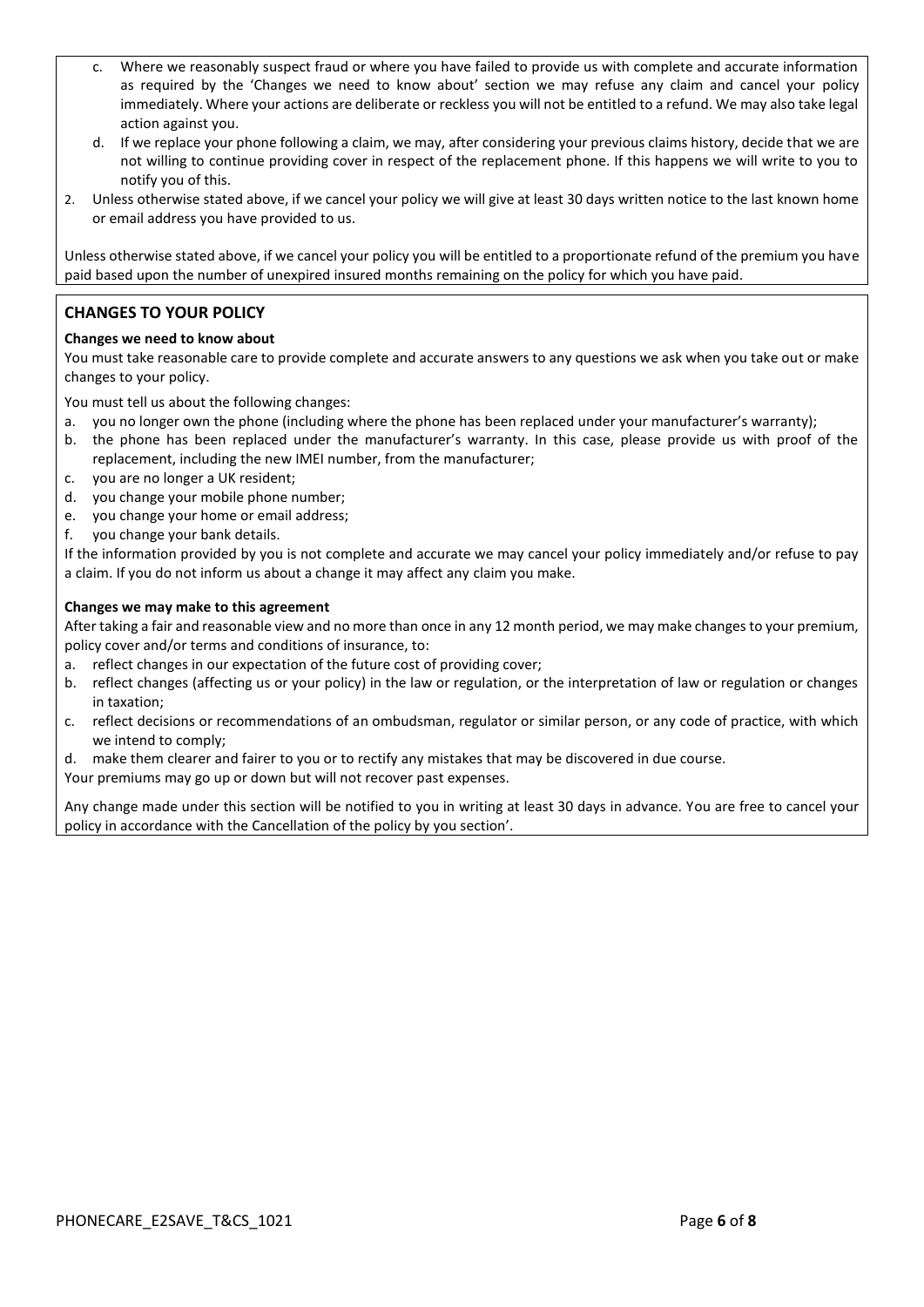- c. Where we reasonably suspect fraud or where you have failed to provide us with complete and accurate information as required by the 'Changes we need to know about' section we may refuse any claim and cancel your policy immediately. Where your actions are deliberate or reckless you will not be entitled to a refund. We may also take legal action against you.
- d. If we replace your phone following a claim, we may, after considering your previous claims history, decide that we are not willing to continue providing cover in respect of the replacement phone. If this happens we will write to you to notify you of this.
- 2. Unless otherwise stated above, if we cancel your policy we will give at least 30 days written notice to the last known home or email address you have provided to us.

Unless otherwise stated above, if we cancel your policy you will be entitled to a proportionate refund of the premium you have paid based upon the number of unexpired insured months remaining on the policy for which you have paid.

# **CHANGES TO YOUR POLICY**

#### **Changes we need to know about**

You must take reasonable care to provide complete and accurate answers to any questions we ask when you take out or make changes to your policy.

You must tell us about the following changes:

- a. you no longer own the phone (including where the phone has been replaced under your manufacturer's warranty);
- b. the phone has been replaced under the manufacturer's warranty. In this case, please provide us with proof of the replacement, including the new IMEI number, from the manufacturer;
- c. you are no longer a UK resident;
- d. you change your mobile phone number;
- e. you change your home or email address;
- f. you change your bank details.

If the information provided by you is not complete and accurate we may cancel your policy immediately and/or refuse to pay a claim. If you do not inform us about a change it may affect any claim you make.

#### **Changes we may make to this agreement**

After taking a fair and reasonable view and no more than once in any 12 month period, we may make changes to your premium, policy cover and/or terms and conditions of insurance, to:

- a. reflect changes in our expectation of the future cost of providing cover;
- b. reflect changes (affecting us or your policy) in the law or regulation, or the interpretation of law or regulation or changes in taxation;
- c. reflect decisions or recommendations of an ombudsman, regulator or similar person, or any code of practice, with which we intend to comply;
- d. make them clearer and fairer to you or to rectify any mistakes that may be discovered in due course.
- Your premiums may go up or down but will not recover past expenses.

Any change made under this section will be notified to you in writing at least 30 days in advance. You are free to cancel your policy in accordance with the Cancellation of the policy by you section'.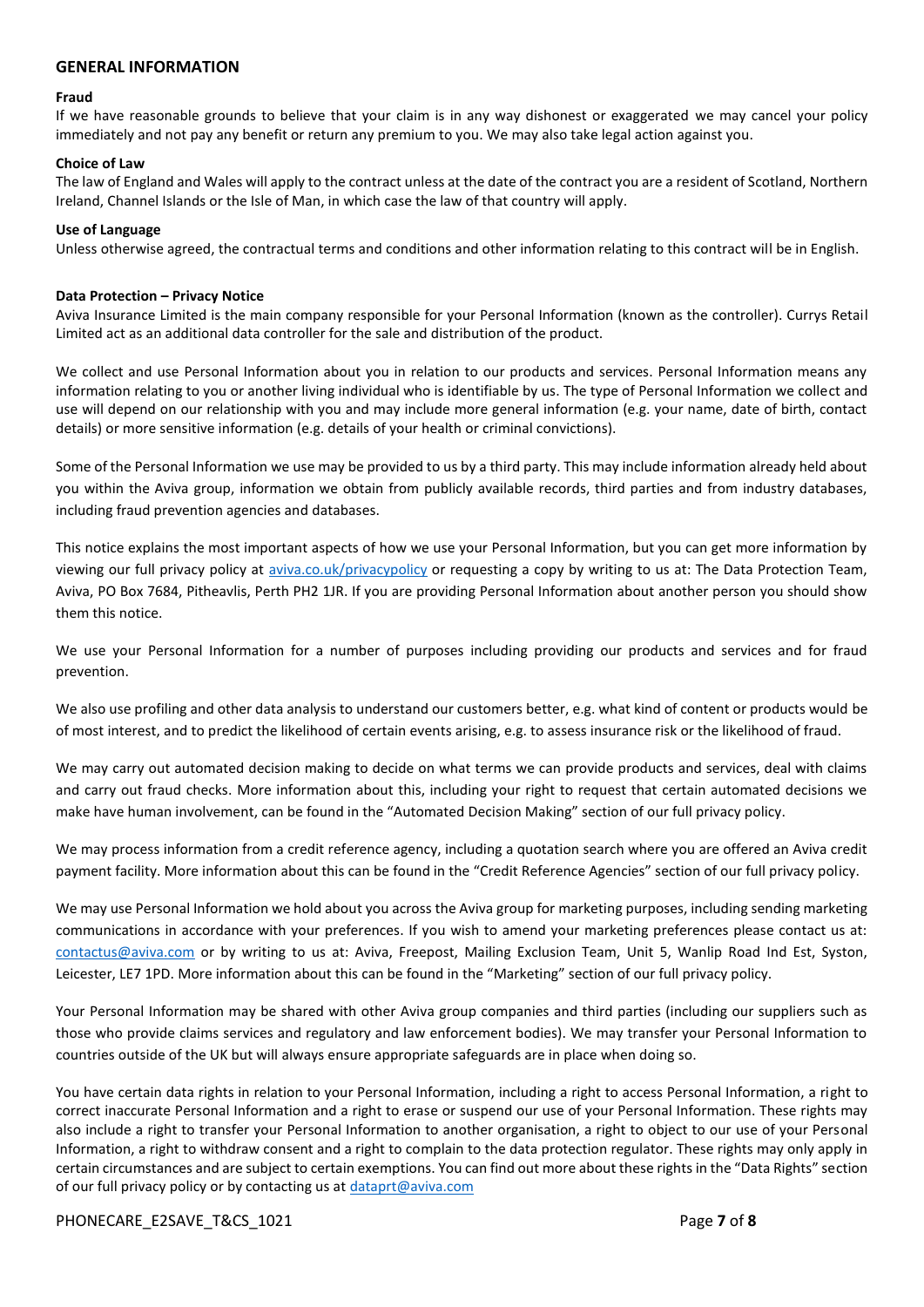#### **GENERAL INFORMATION**

#### **Fraud**

If we have reasonable grounds to believe that your claim is in any way dishonest or exaggerated we may cancel your policy immediately and not pay any benefit or return any premium to you. We may also take legal action against you.

#### **Choice of Law**

The law of England and Wales will apply to the contract unless at the date of the contract you are a resident of Scotland, Northern Ireland, Channel Islands or the Isle of Man, in which case the law of that country will apply.

#### **Use of Language**

Unless otherwise agreed, the contractual terms and conditions and other information relating to this contract will be in English.

#### **Data Protection – Privacy Notice**

Aviva Insurance Limited is the main company responsible for your Personal Information (known as the controller). Currys Retail Limited act as an additional data controller for the sale and distribution of the product.

We collect and use Personal Information about you in relation to our products and services. Personal Information means any information relating to you or another living individual who is identifiable by us. The type of Personal Information we collect and use will depend on our relationship with you and may include more general information (e.g. your name, date of birth, contact details) or more sensitive information (e.g. details of your health or criminal convictions).

Some of the Personal Information we use may be provided to us by a third party. This may include information already held about you within the Aviva group, information we obtain from publicly available records, third parties and from industry databases, including fraud prevention agencies and databases.

This notice explains the most important aspects of how we use your Personal Information, but you can get more information by viewing our full privacy policy at [aviva.co.uk/privacypolicy](http://www.aviva.co.uk/privacypolicy) or requesting a copy by writing to us at: The Data Protection Team, Aviva, PO Box 7684, Pitheavlis, Perth PH2 1JR. If you are providing Personal Information about another person you should show them this notice.

We use your Personal Information for a number of purposes including providing our products and services and for fraud prevention.

We also use profiling and other data analysis to understand our customers better, e.g. what kind of content or products would be of most interest, and to predict the likelihood of certain events arising, e.g. to assess insurance risk or the likelihood of fraud.

We may carry out automated decision making to decide on what terms we can provide products and services, deal with claims and carry out fraud checks. More information about this, including your right to request that certain automated decisions we make have human involvement, can be found in the "Automated Decision Making" section of our full privacy policy.

We may process information from a credit reference agency, including a quotation search where you are offered an Aviva credit payment facility. More information about this can be found in the "Credit Reference Agencies" section of our full privacy policy.

We may use Personal Information we hold about you across the Aviva group for marketing purposes, including sending marketing communications in accordance with your preferences. If you wish to amend your marketing preferences please contact us at: [contactus@aviva.com](mailto:contactus@aviva.com) or by writing to us at: Aviva, Freepost, Mailing Exclusion Team, Unit 5, Wanlip Road Ind Est, Syston, Leicester, LE7 1PD. More information about this can be found in the "Marketing" section of our full privacy policy.

Your Personal Information may be shared with other Aviva group companies and third parties (including our suppliers such as those who provide claims services and regulatory and law enforcement bodies). We may transfer your Personal Information to countries outside of the UK but will always ensure appropriate safeguards are in place when doing so.

You have certain data rights in relation to your Personal Information, including a right to access Personal Information, a right to correct inaccurate Personal Information and a right to erase or suspend our use of your Personal Information. These rights may also include a right to transfer your Personal Information to another organisation, a right to object to our use of your Personal Information, a right to withdraw consent and a right to complain to the data protection regulator. These rights may only apply in certain circumstances and are subject to certain exemptions. You can find out more about these rights in the "Data Rights" section of our full privacy policy or by contacting us at [dataprt@aviva.com](mailto:dataprt@aviva.com)